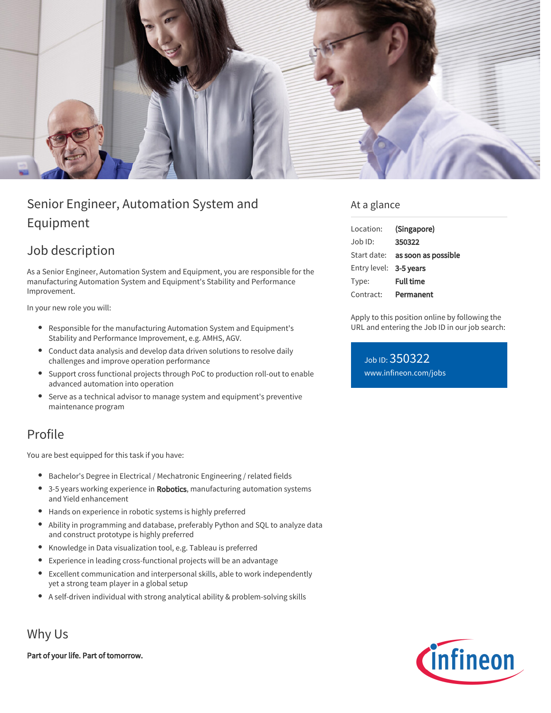

## Senior Engineer, Automation System and Equipment

## Job description

As a Senior Engineer, Automation System and Equipment, you are responsible for the manufacturing Automation System and Equipment's Stability and Performance Improvement.

In your new role you will:

- Responsible for the manufacturing Automation System and Equipment's Stability and Performance Improvement, e.g. AMHS, AGV.
- Conduct data analysis and develop data driven solutions to resolve daily challenges and improve operation performance
- Support cross functional projects through PoC to production roll-out to enable advanced automation into operation
- Serve as a technical advisor to manage system and equipment's preventive maintenance program

## Profile

You are best equipped for this task if you have:

- Bachelor's Degree in Electrical / Mechatronic Engineering / related fields
- 3-5 years working experience in Robotics, manufacturing automation systems and Yield enhancement
- Hands on experience in robotic systems is highly preferred
- Ability in programming and database, preferably Python and SQL to analyze data  $\bullet$ and construct prototype is highly preferred
- Knowledge in Data visualization tool, e.g. Tableau is preferred
- Experience in leading cross-functional projects will be an advantage
- Excellent communication and interpersonal skills, able to work independently yet a strong team player in a global setup
- A self-driven individual with strong analytical ability & problem-solving skills

Why Us

Part of your life. Part of tomorrow.

## At a glance

| Location:              | (Singapore)                     |
|------------------------|---------------------------------|
| Job ID:                | 350322                          |
|                        | Start date: as soon as possible |
| Entry level: 3-5 years |                                 |
| Type:                  | <b>Full time</b>                |
| Contract:              | Permanent                       |

Apply to this position online by following the URL and entering the Job ID in our job search:

Job ID: 350322 [www.infineon.com/jobs](https://www.infineon.com/jobs)